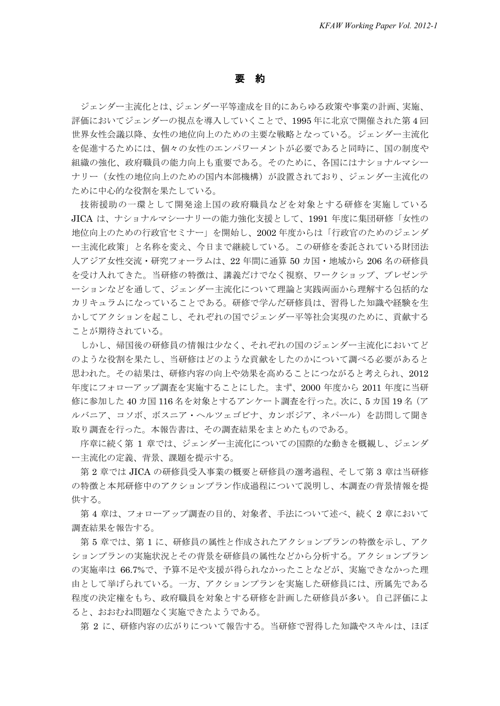## 要 約

ジェンダー主流化とは、ジェンダー平等達成を目的にあらゆる政策や事業の計画、実施、 評価においてジェンダーの視点を導入していくことで、1995 年に北京で開催された第 4 回 世界女性会議以降、女性の地位向上のための主要な戦略となっている。ジェンダー主流化 を促進するためには、個々の女性のエンパワーメントが必要であると同時に、国の制度や 組織の強化、政府職員の能力向上も重要である。そのために、各国にはナショナルマシー ナリー(女性の地位向上のための国内本部機構)が設置されており、ジェンダー主流化の ために中心的な役割を果たしている。

技術援助の一環として開発途上国の政府職員などを対象とする研修を実施している JICA は、ナショナルマシーナリーの能力強化支援として、1991 年度に集団研修「女性の 地位向上のための行政官セミナー」を開始し、2002 年度からは「行政官のためのジェンダ ー主流化政策」と名称を変え、今日まで継続している。この研修を委託されている財団法 人アジア女性交流・研究フォーラムは、22 年間に通算 50 カ国・地域から 206 名の研修員 を受け入れてきた。当研修の特徴は、講義だけでなく視察、ワークショップ、プレゼンテ ーションなどを通して、ジェンダー主流化について理論と実践両面から理解する包括的な カリキュラムになっていることである。研修で学んだ研修員は、習得した知識や経験を生 かしてアクションを起こし、それぞれの国でジェンダー平等社会実現のために、貢献する ことが期待されている。

しかし、帰国後の研修員の情報は少なく、それぞれの国のジェンダー主流化においてど のような役割を果たし、当研修はどのような貢献をしたのかについて調べる必要があると 思われた。その結果は、研修内容の向上や効果を高めることにつながると考えられ、2012 年度にフォローアップ調査を実施することにした。まず、2000 年度から 2011 年度に当研 修に参加した 40 カ国 116 名を対象とするアンケート調査を行った。次に、5 カ国 19 名 (ア ルバニア、コソボ、ボスニア・ヘルツェゴビナ、カンボジア、ネパール)を訪問して聞き 取り調査を行った。本報告書は、その調査結果をまとめたものである。

序章に続く第 1 章では、ジェンダー主流化についての国際的な動きを概観し、ジェンダ ー主流化の定義、背景、課題を提示する。

第 2 章では JICA の研修員受入事業の概要と研修員の選考過程、そして第 3 章は当研修 の特徴と本邦研修中のアクションプラン作成過程について説明し、本調査の背景情報を提 供する。

第 4 章は、フォローアップ調査の目的、対象者、手法について述べ、続く 2 章において 調査結果を報告する。

第 5 章では、第 1 に、研修員の属性と作成されたアクションプランの特徴を示し、アク ションプランの実施状況とその背景を研修員の属性などから分析する。アクションプラン の実施率は 66.7%で、予算不足や支援が得られなかったことなどが、実施できなかった理 由として挙げられている。一方、アクションプランを実施した研修員には、所属先である 程度の決定権をもち、政府職員を対象とする研修を計画した研修員が多い。自己評価によ ると、おおむね問題なく実施できたようである。

第 2 に、研修内容の広がりについて報告する。当研修で習得した知識やスキルは、ほぼ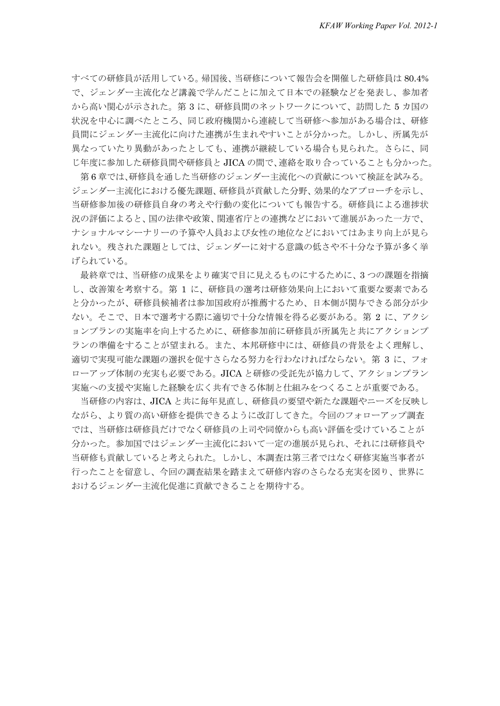すべての研修員が活用している。帰国後、当研修について報告会を開催した研修員は 80.4% で、ジェンダー主流化など講義で学んだことに加えて日本での経験などを発表し、参加者 から高い関心が示された。第 3 に、研修員間のネットワークについて、訪問した 5 カ国の 状況を中心に調べたところ、同じ政府機関から連続して当研修へ参加がある場合は、研修 員間にジェンダー主流化に向けた連携が生まれやすいことが分かった。しかし、所属先が 異なっていたり異動があったとしても、連携が継続している場合も見られた。さらに、同 じ年度に参加した研修員間や研修員と JICA の間で、連絡を取り合っていることも分かった。

第 6 章では、研修員を通した当研修のジェンダー主流化への貢献について検証を試みる。 ジェンダー主流化における優先課題、研修員が貢献した分野、効果的なアプローチを示し、 当研修参加後の研修員自身の考えや行動の変化についても報告する。研修員による進捗状 況の評価によると、国の法律や政策、関連省庁との連携などにおいて進展があった一方で、 ナショナルマシーナリーの予算や人員および女性の地位などにおいてはあまり向上が見ら れない。残された課題としては、ジェンダーに対する意識の低さや不十分な予算が多く挙 げられている。

最終章では、当研修の成果をより確実で目に見えるものにするために、3 つの課題を指摘 し、改善策を考察する。第 1 に、研修員の選考は研修効果向上において重要な要素である と分かったが、研修員候補者は参加国政府が推薦するため、日本側が関与できる部分が少 ない。そこで、日本で選考する際に適切で十分な情報を得る必要がある。第 2 に、アクシ ョンプランの実施率を向上するために、研修参加前に研修員が所属先と共にアクションプ ランの準備をすることが望まれる。また、本邦研修中には、研修員の背景をよく理解し、 適切で実現可能な課題の選択を促すさらなる努力を行わなければならない。第 3 に、フォ ローアップ体制の充実も必要である。JICA と研修の受託先が協力して、アクションプラン 実施への支援や実施した経験を広く共有できる体制と仕組みをつくることが重要である。

当研修の内容は、JICA と共に毎年見直し、研修員の要望や新たな課題やニーズを反映し ながら、より質の高い研修を提供できるように改訂してきた。今回のフォローアップ調査 では、当研修は研修員だけでなく研修員の上司や同僚からも高い評価を受けていることが 分かった。参加国ではジェンダー主流化において一定の進展が見られ、それには研修員や 当研修も貢献していると考えられた。しかし、本調査は第三者ではなく研修実施当事者が 行ったことを留意し、今回の調査結果を踏まえて研修内容のさらなる充実を図り、世界に おけるジェンダー主流化促進に貢献できることを期待する。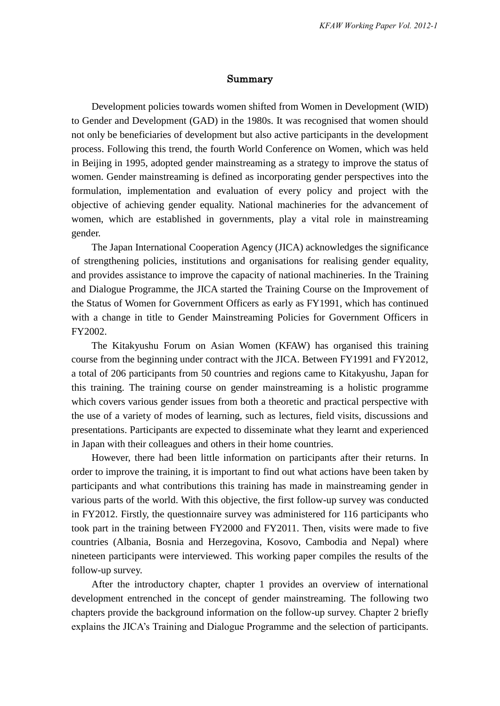## Summary

Development policies towards women shifted from Women in Development (WID) to Gender and Development (GAD) in the 1980s. It was recognised that women should not only be beneficiaries of development but also active participants in the development process. Following this trend, the fourth World Conference on Women, which was held in Beijing in 1995, adopted gender mainstreaming as a strategy to improve the status of women. Gender mainstreaming is defined as incorporating gender perspectives into the formulation, implementation and evaluation of every policy and project with the objective of achieving gender equality. National machineries for the advancement of women, which are established in governments, play a vital role in mainstreaming gender.

The Japan International Cooperation Agency (JICA) acknowledges the significance of strengthening policies, institutions and organisations for realising gender equality, and provides assistance to improve the capacity of national machineries. In the Training and Dialogue Programme, the JICA started the Training Course on the Improvement of the Status of Women for Government Officers as early as FY1991, which has continued with a change in title to Gender Mainstreaming Policies for Government Officers in FY2002.

The Kitakyushu Forum on Asian Women (KFAW) has organised this training course from the beginning under contract with the JICA. Between FY1991 and FY2012, a total of 206 participants from 50 countries and regions came to Kitakyushu, Japan for this training. The training course on gender mainstreaming is a holistic programme which covers various gender issues from both a theoretic and practical perspective with the use of a variety of modes of learning, such as lectures, field visits, discussions and presentations. Participants are expected to disseminate what they learnt and experienced in Japan with their colleagues and others in their home countries.

However, there had been little information on participants after their returns. In order to improve the training, it is important to find out what actions have been taken by participants and what contributions this training has made in mainstreaming gender in various parts of the world. With this objective, the first follow-up survey was conducted in FY2012. Firstly, the questionnaire survey was administered for 116 participants who took part in the training between FY2000 and FY2011. Then, visits were made to five countries (Albania, Bosnia and Herzegovina, Kosovo, Cambodia and Nepal) where nineteen participants were interviewed. This working paper compiles the results of the follow-up survey.

After the introductory chapter, chapter 1 provides an overview of international development entrenched in the concept of gender mainstreaming. The following two chapters provide the background information on the follow-up survey. Chapter 2 briefly explains the JICA's Training and Dialogue Programme and the selection of participants.